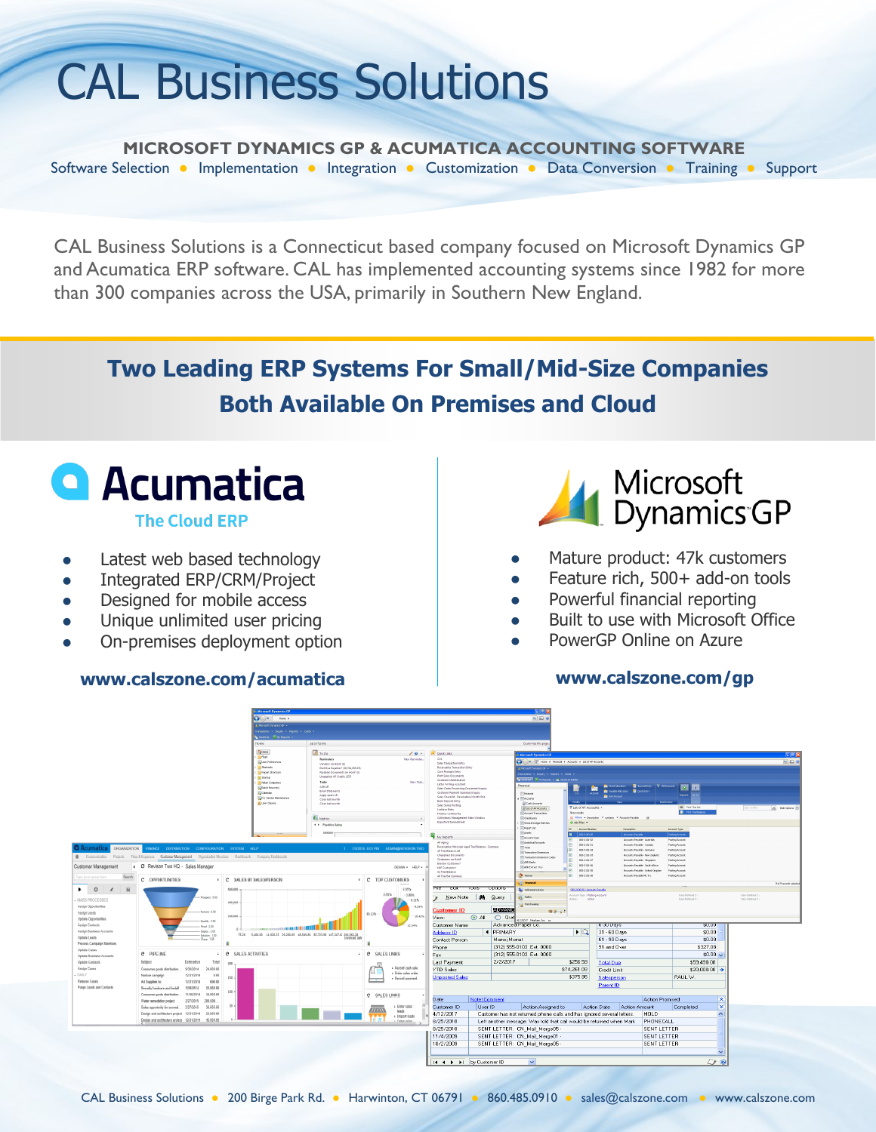## CAL Business Solutions

**MICROSOFT DYNAMICS GP & ACUMATICA ACCOUNTING SOFTWARE** Software Selection ● Implementation ● Integration ● Customization ● Data Conversion ● Training ● Support

CAL Business Solutions is a Connecticut based company focused on Microsoft Dynamics GP and Acumatica ERP software. CAL has implemented accounting systems since 1982 for more than 300 companies across the USA, primarily in Southern New England.

### **Two Leading ERP Systems For Small/Mid-Size Companies Both Available On Premises and Cloud**

# **Q** Acumatica

**The Cloud ERP** 

- Latest web based technology
- Integrated ERP/CRM/Project
- Designed for mobile access
- Unique unlimited user pricing
- On-premises deployment option

#### **www.calszone.com/acumatica**



- Mature product: 47k customers
- Feature rich, 500+ add-on tools
- Powerful financial reporting
- Built to use with Microsoft Office
- PowerGP Online on Azure

#### **www.calszone.com/gp**